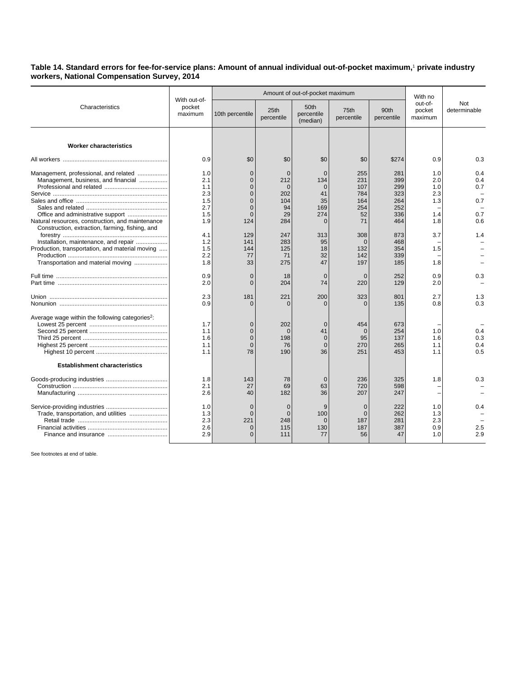## **Table 14. Standard errors for fee-for-service plans: Amount of annual individual out-of-pocket maximum,**<sup>1</sup>  **private industry workers, National Compensation Survey, 2014**

| Characteristics                                                                                                                                                                                                                                                                 | With out-of-<br>pocket<br>maximum                                                |                                                                                                                 | Amount of out-of-pocket maximum                                                         | With no                                                                                    |                                                                                     |                                                                                  |                                                             |                                               |
|---------------------------------------------------------------------------------------------------------------------------------------------------------------------------------------------------------------------------------------------------------------------------------|----------------------------------------------------------------------------------|-----------------------------------------------------------------------------------------------------------------|-----------------------------------------------------------------------------------------|--------------------------------------------------------------------------------------------|-------------------------------------------------------------------------------------|----------------------------------------------------------------------------------|-------------------------------------------------------------|-----------------------------------------------|
|                                                                                                                                                                                                                                                                                 |                                                                                  | 10th percentile                                                                                                 | 25th<br>percentile                                                                      | 50th<br>percentile<br>(median)                                                             | 75th<br>percentile                                                                  | 90th<br>percentile                                                               | out-of-<br>pocket<br>maximum                                | Not<br>determinable                           |
| <b>Worker characteristics</b>                                                                                                                                                                                                                                                   |                                                                                  |                                                                                                                 |                                                                                         |                                                                                            |                                                                                     |                                                                                  |                                                             |                                               |
|                                                                                                                                                                                                                                                                                 | 0.9                                                                              | \$0                                                                                                             | \$0                                                                                     | \$0                                                                                        | \$0                                                                                 | \$274                                                                            | 0.9                                                         | 0.3                                           |
| Management, professional, and related<br>Management, business, and financial<br>Natural resources, construction, and maintenance<br>Construction, extraction, farming, fishing, and<br>Installation, maintenance, and repair<br>Production, transportation, and material moving | 1.0<br>2.1<br>1.1<br>2.3<br>1.5<br>2.7<br>1.5<br>1.9<br>4.1<br>1.2<br>1.5<br>2.2 | $\Omega$<br>$\Omega$<br>0<br>$\Omega$<br>$\Omega$<br>$\Omega$<br>$\mathbf{0}$<br>124<br>129<br>141<br>144<br>77 | $\Omega$<br>212<br>$\Omega$<br>202<br>104<br>94<br>29<br>284<br>247<br>283<br>125<br>71 | $\Omega$<br>134<br>$\Omega$<br>41<br>35<br>169<br>274<br>$\Omega$<br>313<br>95<br>18<br>32 | 255<br>231<br>107<br>784<br>164<br>254<br>52<br>71<br>308<br>$\Omega$<br>132<br>142 | 281<br>399<br>299<br>323<br>264<br>252<br>336<br>464<br>873<br>468<br>354<br>339 | 1.0<br>2.0<br>1.0<br>2.3<br>1.3<br>1.4<br>1.8<br>3.7<br>1.5 | 0.4<br>0.4<br>0.7<br>0.7<br>0.7<br>0.6<br>1.4 |
| Transportation and material moving                                                                                                                                                                                                                                              | 1.8                                                                              | 33                                                                                                              | 275                                                                                     | 47                                                                                         | 197                                                                                 | 185                                                                              | 1.8                                                         |                                               |
|                                                                                                                                                                                                                                                                                 | 0.9<br>2.0                                                                       | $\mathbf{0}$<br>$\Omega$                                                                                        | 18<br>204                                                                               | $\mathbf 0$<br>74                                                                          | $\mathbf 0$<br>220                                                                  | 252<br>129                                                                       | 0.9<br>2.0                                                  | 0.3                                           |
|                                                                                                                                                                                                                                                                                 | 2.3<br>0.9                                                                       | 181<br>$\Omega$                                                                                                 | 221<br>$\Omega$                                                                         | 200<br>$\Omega$                                                                            | 323<br>$\Omega$                                                                     | 801<br>135                                                                       | 2.7<br>0.8                                                  | 1.3<br>0.3                                    |
| Average wage within the following categories <sup>2</sup> :                                                                                                                                                                                                                     | 1.7<br>1.1<br>1.6<br>1.1<br>1.1                                                  | $\mathbf 0$<br>$\Omega$<br>$\mathbf{0}$<br>$\Omega$<br>78                                                       | 202<br>$\Omega$<br>198<br>76<br>190                                                     | $\mathbf 0$<br>41<br>$\overline{0}$<br>$\overline{0}$<br>36                                | 454<br>$\Omega$<br>95<br>270<br>251                                                 | 673<br>254<br>137<br>265<br>453                                                  | 1.0<br>1.6<br>1.1<br>1.1                                    | 0.4<br>0.3<br>0.4<br>0.5                      |
| <b>Establishment characteristics</b>                                                                                                                                                                                                                                            |                                                                                  |                                                                                                                 |                                                                                         |                                                                                            |                                                                                     |                                                                                  |                                                             |                                               |
|                                                                                                                                                                                                                                                                                 | 1.8<br>2.1<br>2.6                                                                | 143<br>27<br>40                                                                                                 | 78<br>69<br>182                                                                         | $\overline{0}$<br>63<br>36                                                                 | 236<br>720<br>207                                                                   | 325<br>598<br>247                                                                | 1.8                                                         | 0.3                                           |
|                                                                                                                                                                                                                                                                                 | 1.0<br>1.3<br>2.3<br>2.6<br>2.9                                                  | $\Omega$<br>$\Omega$<br>221<br>$\Omega$<br>$\Omega$                                                             | $\overline{0}$<br>$\overline{0}$<br>248<br>115<br>111                                   | 9<br>100<br>$\Omega$<br>130<br>77                                                          | $\overline{0}$<br>$\overline{0}$<br>187<br>187<br>56                                | 222<br>262<br>281<br>387<br>47                                                   | 1.0<br>1.3<br>2.3<br>0.9<br>1.0                             | 0.4<br>2.5<br>2.9                             |

See footnotes at end of table.